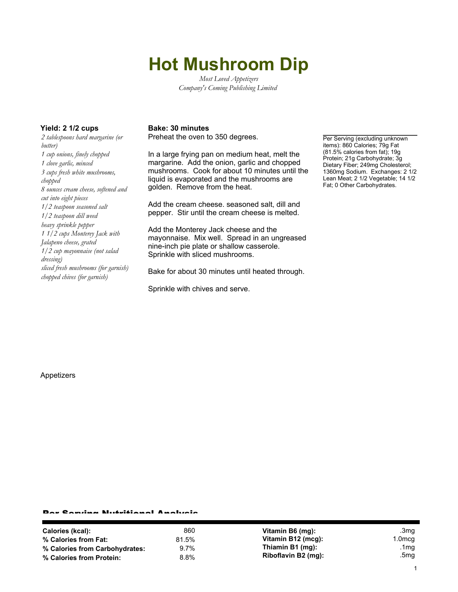# **Hot Mushroom Dip**

*Most Loved Appetizers Company's Coming Publishing Limited*

*2 tablespoons hard margarine (or butter) 1 cup onions, finely chopped 1 clove garlic, minced 3 cups fresh white mushrooms, chopped 8 ounces cream cheese, softened and cut into eight pieces 1/2 teaspoon seasoned salt 1/2 teaspoon dill weed heavy sprinkle pepper 1 1/2 cups Monterey Jack with Jalapeno cheese, grated 1/2 cup mayonnaise (not salad dressing) sliced fresh mushrooms (for garnish) chopped chives (for garnish)*

### Yield: 2 1/2 cups Bake: 30 minutes

Preheat the oven to 350 degrees.

In a large frying pan on medium heat, melt the margarine. Add the onion, garlic and chopped mushrooms. Cook for about 10 minutes until the liquid is evaporated and the mushrooms are golden. Remove from the heat.

Add the cream cheese. seasoned salt, dill and pepper. Stir until the cream cheese is melted.

Add the Monterey Jack cheese and the mayonnaise. Mix well. Spread in an ungreased nine-inch pie plate or shallow casserole. Sprinkle with sliced mushrooms.

Bake for about 30 minutes until heated through.

Sprinkle with chives and serve.

Per Serving (excluding unknown items): 860 Calories; 79g Fat (81.5% calories from fat); 19g Protein; 21g Carbohydrate; 3g Dietary Fiber; 249mg Cholesterol; 1360mg Sodium. Exchanges: 2 1/2 Lean Meat; 2 1/2 Vegetable; 14 1/2 Fat; 0 Other Carbohydrates.

Appetizers

#### Per Serving Nutritional Analysis

| Calories (kcal):               | 860     | Vitamin B6 (mg):    | .3mg   |
|--------------------------------|---------|---------------------|--------|
| % Calories from Fat:           | 81.5%   | Vitamin B12 (mcg):  | 1.0mcg |
| % Calories from Carbohydrates: | $9.7\%$ | Thiamin B1 (mg):    | .1mg   |
| % Calories from Protein:       | 8.8%    | Riboflavin B2 (mg): | .5mg   |